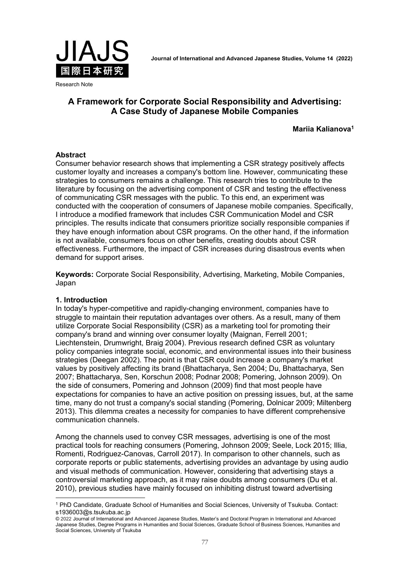

#### Research Note

# A Framework for Corporate Social Responsibility and Advertising: A Case Study of Japanese Mobile Companies

Mariia Kalianova1

### **Abstract**

Consumer behavior research shows that implementing a CSR strategy positively affects customer loyalty and increases a company's bottom line. However, communicating these strategies to consumers remains a challenge. This research tries to contribute to the literature by focusing on the advertising component of CSR and testing the effectiveness of communicating CSR messages with the public. To this end, an experiment was conducted with the cooperation of consumers of Japanese mobile companies. Specifically, I introduce a modified framework that includes CSR Communication Model and CSR principles. The results indicate that consumers prioritize socially responsible companies if they have enough information about CSR programs. On the other hand, if the information is not available, consumers focus on other benefits, creating doubts about CSR effectiveness. Furthermore, the impact of CSR increases during disastrous events when demand for support arises.

Keywords: Corporate Social Responsibility, Advertising, Marketing, Mobile Companies, Japan

#### 1. Introduction

l

In today's hyper-competitive and rapidly-changing environment, companies have to struggle to maintain their reputation advantages over others. As a result, many of them utilize Corporate Social Responsibility (CSR) as a marketing tool for promoting their company's brand and winning over consumer loyalty (Maignan, Ferrell 2001; Liechtenstein, Drumwright, Braig 2004). Previous research defined CSR as voluntary policy companies integrate social, economic, and environmental issues into their business strategies (Deegan 2002). The point is that CSR could increase a company's market values by positively affecting its brand (Bhattacharya, Sen 2004; Du, Bhattacharya, Sen 2007; Bhattacharya, Sen, Korschun 2008; Podnar 2008; Pomering, Johnson 2009). On the side of consumers, Pomering and Johnson (2009) find that most people have expectations for companies to have an active position on pressing issues, but, at the same time, many do not trust a company's social standing (Pomering, Dolnicar 2009; Miltenberg 2013). This dilemma creates a necessity for companies to have different comprehensive communication channels.

Among the channels used to convey CSR messages, advertising is one of the most practical tools for reaching consumers (Pomering, Johnson 2009; Seele, Lock 2015; Illia, Romenti, Rodriguez-Canovas, Carroll 2017). In comparison to other channels, such as corporate reports or public statements, advertising provides an advantage by using audio and visual methods of communication. However, considering that advertising stays a controversial marketing approach, as it may raise doubts among consumers (Du et al. 2010), previous studies have mainly focused on inhibiting distrust toward advertising

<sup>1</sup> PhD Candidate, Graduate School of Humanities and Social Sciences, University of Tsukuba. Contact: s1936003@s.tsukuba.ac.jp

<sup>© 2021</sup> Journal of International and Advanced Japanese Studies, Master's and Doctoral Program in International and Advanced 2022 Japanese Studies, Degree Programs in Humanities and Social Sciences, Graduate School of Business Sciences, Humanities and Social Sciences, University of Tsukuba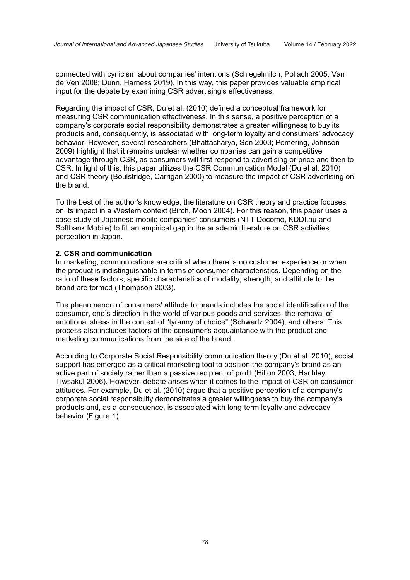connected with cynicism about companies' intentions (Schlegelmilch, Pollach 2005; Van de Ven 2008; Dunn, Harness 2019). In this way, this paper provides valuable empirical input for the debate by examining CSR advertising's effectiveness.

Regarding the impact of CSR, Du et al. (2010) defined a conceptual framework for measuring CSR communication effectiveness. In this sense, a positive perception of a company's corporate social responsibility demonstrates a greater willingness to buy its products and, consequently, is associated with long-term loyalty and consumers' advocacy behavior. However, several researchers (Bhattacharya, Sen 2003; Pomering, Johnson 2009) highlight that it remains unclear whether companies can gain a competitive advantage through CSR, as consumers will first respond to advertising or price and then to CSR. In light of this, this paper utilizes the CSR Communication Model (Du et al. 2010) and CSR theory (Boulstridge, Carrigan 2000) to measure the impact of CSR advertising on the brand.

To the best of the author's knowledge, the literature on CSR theory and practice focuses on its impact in a Western context (Birch, Moon 2004). For this reason, this paper uses a case study of Japanese mobile companies' consumers (NTT Docomo, KDDI.au and Softbank Mobile) to fill an empirical gap in the academic literature on CSR activities perception in Japan.

#### 2. CSR and communication

In marketing, communications are critical when there is no customer experience or when the product is indistinguishable in terms of consumer characteristics. Depending on the ratio of these factors, specific characteristics of modality, strength, and attitude to the brand are formed (Thompson 2003).

The phenomenon of consumers' attitude to brands includes the social identification of the consumer, one's direction in the world of various goods and services, the removal of emotional stress in the context of "tyranny of choice" (Schwartz 2004), and others. This process also includes factors of the consumer's acquaintance with the product and marketing communications from the side of the brand.

According to Corporate Social Responsibility communication theory (Du et al. 2010), social support has emerged as a critical marketing tool to position the company's brand as an active part of society rather than a passive recipient of profit (Hilton 2003; Hachley, Tiwsakul 2006). However, debate arises when it comes to the impact of CSR on consumer attitudes. For example, Du et al. (2010) argue that a positive perception of a company's corporate social responsibility demonstrates a greater willingness to buy the company's products and, as a consequence, is associated with long-term loyalty and advocacy behavior (Figure 1).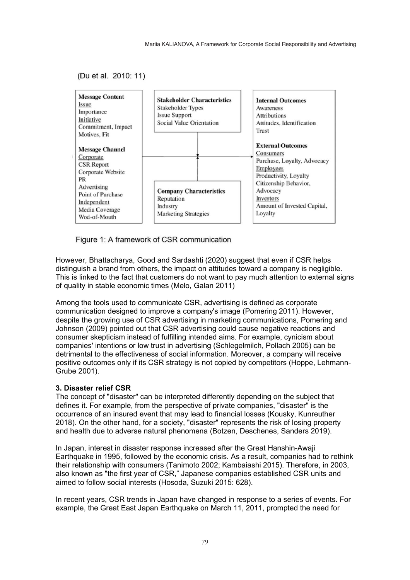(Du et al. 2010: 11)



Figure 1: A framework of CSR communication

However, Bhattacharya, Good and Sardashti (2020) suggest that even if CSR helps distinguish a brand from others, the impact on attitudes toward a company is negligible. This is linked to the fact that customers do not want to pay much attention to external signs of quality in stable economic times (Melo, Galan 2011)

Among the tools used to communicate CSR, advertising is defined as corporate communication designed to improve a company's image (Pomering 2011). However, despite the growing use of CSR advertising in marketing communications, Pomering and Johnson (2009) pointed out that CSR advertising could cause negative reactions and consumer skepticism instead of fulfilling intended aims. For example, cynicism about companies' intentions or low trust in advertising (Schlegelmilch, Pollach 2005) can be detrimental to the effectiveness of social information. Moreover, a company will receive positive outcomes only if its CSR strategy is not copied by competitors (Hoppe, Lehmann-Grube 2001).

## 3. Disaster relief CSR

The concept of "disaster" can be interpreted differently depending on the subject that defines it. For example, from the perspective of private companies, "disaster" is the occurrence of an insured event that may lead to financial losses (Kousky, Kunreuther 2018). On the other hand, for a society, "disaster" represents the risk of losing property and health due to adverse natural phenomena (Botzen, Deschenes, Sanders 2019).

In Japan, interest in disaster response increased after the Great Hanshin-Awaji Earthquake in 1995, followed by the economic crisis. As a result, companies had to rethink their relationship with consumers (Tanimoto 2002; Kambaiashi 2015). Therefore, in 2003, also known as "the first year of CSR," Japanese companies established CSR units and aimed to follow social interests (Hosoda, Suzuki 2015: 628).

In recent years, CSR trends in Japan have changed in response to a series of events. For example, the Great East Japan Earthquake on March 11, 2011, prompted the need for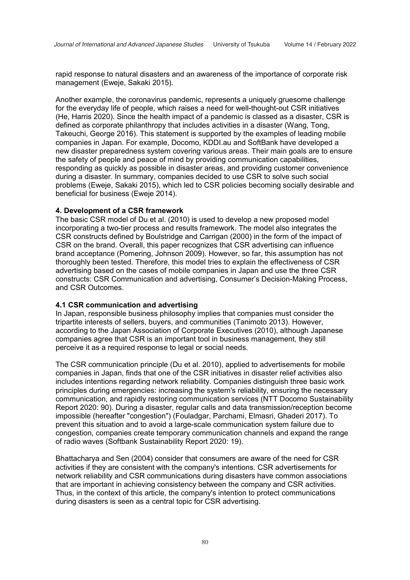rapid response to natural disasters and an awareness of the importance of corporate risk management (Eweje, Sakaki 2015).

Another example, the coronavirus pandemic, represents a uniquely gruesome challenge for the everyday life of people, which raises a need for well-thought-out CSR initiatives (He, Harris 2020). Since the health impact of a pandemic is classed as a disaster, CSR is defined as corporate philanthropy that includes activities in a disaster (Wang, Tong, Takeuchi, George 2016). This statement is supported by the examples of leading mobile companies in Japan. For example, Docomo, KDDI.au and SoftBank have developed a new disaster preparedness system covering various areas. Their main goals are to ensure the safety of people and peace of mind by providing communication capabilities, responding as quickly as possible in disaster areas, and providing customer convenience during a disaster. In summary, companies decided to use CSR to solve such social problems (Eweje, Sakaki 2015), which led to CSR policies becoming socially desirable and beneficial for business (Eweje 2014).

#### 4. Development of a CSR framework

The basic CSR model of Du et al. (2010) is used to develop a new proposed model incorporating a two-tier process and results framework. The model also integrates the CSR constructs defined by Boulstridge and Carrigan (2000) in the form of the impact of CSR on the brand. Overall, this paper recognizes that CSR advertising can influence brand acceptance (Pomering, Johnson 2009). However, so far, this assumption has not thoroughly been tested. Therefore, this model tries to explain the effectiveness of CSR advertising based on the cases of mobile companies in Japan and use the three CSR constructs: CSR Communication and advertising, Consumer's Decision-Making Process, and CSR Outcomes.

#### 4.1 CSR communication and advertising

In Japan, responsible business philosophy implies that companies must consider the tripartite interests of sellers, buyers, and communities (Tanimoto 2013). However, according to the Japan Association of Corporate Executives (2010), although Japanese companies agree that CSR is an important tool in business management, they still perceive it as a required response to legal or social needs.

The CSR communication principle (Du et al. 2010), applied to advertisements for mobile companies in Japan, finds that one of the CSR initiatives in disaster relief activities also includes intentions regarding network reliability. Companies distinguish three basic work principles during emergencies: increasing the system's reliability, ensuring the necessary communication, and rapidly restoring communication services (NTT Docomo Sustainability Report 2020: 90). During a disaster, regular calls and data transmission/reception become impossible (hereafter "congestion") (Fouladgar, Parchami, Elmasri, Ghaderi 2017). To prevent this situation and to avoid a large-scale communication system failure due to congestion, companies create temporary communication channels and expand the range of radio waves (Softbank Sustainability Report 2020: 19).

Bhattacharya and Sen (2004) consider that consumers are aware of the need for CSR activities if they are consistent with the company's intentions. CSR advertisements for network reliability and CSR communications during disasters have common associations that are important in achieving consistency between the company and CSR activities. Thus, in the context of this article, the company's intention to protect communications during disasters is seen as a central topic for CSR advertising.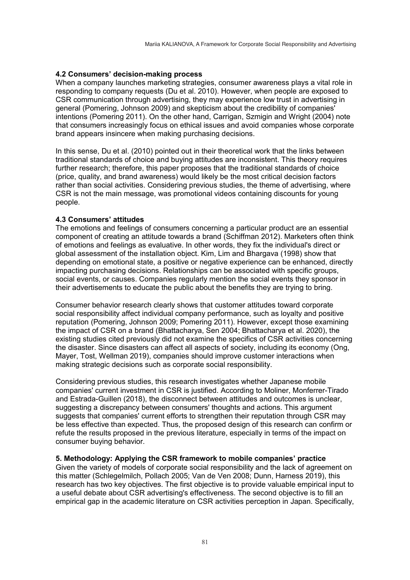### 4.2 Consumers' decision-making process

When a company launches marketing strategies, consumer awareness plays a vital role in responding to company requests (Du et al. 2010). However, when people are exposed to CSR communication through advertising, they may experience low trust in advertising in general (Pomering, Johnson 2009) and skepticism about the credibility of companies' intentions (Pomering 2011). On the other hand, Carrigan, Szmigin and Wright (2004) note that consumers increasingly focus on ethical issues and avoid companies whose corporate brand appears insincere when making purchasing decisions.

In this sense, Du et al. (2010) pointed out in their theoretical work that the links between traditional standards of choice and buying attitudes are inconsistent. This theory requires further research; therefore, this paper proposes that the traditional standards of choice (price, quality, and brand awareness) would likely be the most critical decision factors rather than social activities. Considering previous studies, the theme of advertising, where CSR is not the main message, was promotional videos containing discounts for young people.

### 4.3 Consumers' attitudes

The emotions and feelings of consumers concerning a particular product are an essential component of creating an attitude towards a brand (Schiffman 2012). Marketers often think of emotions and feelings as evaluative. In other words, they fix the individual's direct or global assessment of the installation object. Kim, Lim and Bhargava (1998) show that depending on emotional state, a positive or negative experience can be enhanced, directly impacting purchasing decisions. Relationships can be associated with specific groups, social events, or causes. Companies regularly mention the social events they sponsor in their advertisements to educate the public about the benefits they are trying to bring.

Consumer behavior research clearly shows that customer attitudes toward corporate social responsibility affect individual company performance, such as loyalty and positive reputation (Pomering, Johnson 2009; Pomering 2011). However, except those examining the impact of CSR on a brand (Bhattacharya, Sen 2004; Bhattacharya et al. 2020), the existing studies cited previously did not examine the specifics of CSR activities concerning the disaster. Since disasters can affect all aspects of society, including its economy (Ong, Mayer, Tost, Wellman 2019), companies should improve customer interactions when making strategic decisions such as corporate social responsibility.

Considering previous studies, this research investigates whether Japanese mobile companies' current investment in CSR is justified. According to Moliner, Monferrer-Tirado and Estrada-Guillen (2018), the disconnect between attitudes and outcomes is unclear, suggesting a discrepancy between consumers' thoughts and actions. This argument suggests that companies' current efforts to strengthen their reputation through CSR may be less effective than expected. Thus, the proposed design of this research can confirm or refute the results proposed in the previous literature, especially in terms of the impact on consumer buying behavior.

### 5. Methodology: Applying the CSR framework to mobile companies' practice

Given the variety of models of corporate social responsibility and the lack of agreement on this matter (Schlegelmilch, Pollach 2005; Van de Ven 2008; Dunn, Harness 2019), this research has two key objectives. The first objective is to provide valuable empirical input to a useful debate about CSR advertising's effectiveness. The second objective is to fill an empirical gap in the academic literature on CSR activities perception in Japan. Specifically,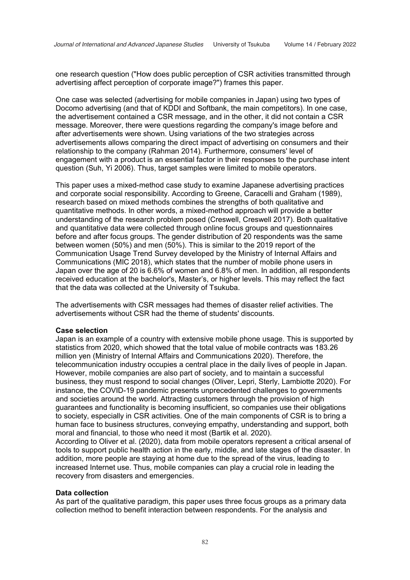one research question ("How does public perception of CSR activities transmitted through advertising affect perception of corporate image?") frames this paper.

One case was selected (advertising for mobile companies in Japan) using two types of Docomo advertising (and that of KDDI and Softbank, the main competitors). In one case, the advertisement contained a CSR message, and in the other, it did not contain a CSR message. Moreover, there were questions regarding the company's image before and after advertisements were shown. Using variations of the two strategies across advertisements allows comparing the direct impact of advertising on consumers and their relationship to the company (Rahman 2014). Furthermore, consumers' level of engagement with a product is an essential factor in their responses to the purchase intent question (Suh, Yi 2006). Thus, target samples were limited to mobile operators.

This paper uses a mixed-method case study to examine Japanese advertising practices and corporate social responsibility. According to Greene, Caracelli and Graham (1989), research based on mixed methods combines the strengths of both qualitative and quantitative methods. In other words, a mixed-method approach will provide a better understanding of the research problem posed (Creswell, Creswell 2017). Both qualitative and quantitative data were collected through online focus groups and questionnaires before and after focus groups. The gender distribution of 20 respondents was the same between women (50%) and men (50%). This is similar to the 2019 report of the Communication Usage Trend Survey developed by the Ministry of Internal Affairs and Communications (MIC 2018), which states that the number of mobile phone users in Japan over the age of 20 is 6.6% of women and 6.8% of men. In addition, all respondents received education at the bachelor's, Master's, or higher levels. This may reflect the fact that the data was collected at the University of Tsukuba.

The advertisements with CSR messages had themes of disaster relief activities. The advertisements without CSR had the theme of students' discounts.

#### Case selection

Japan is an example of a country with extensive mobile phone usage. This is supported by statistics from 2020, which showed that the total value of mobile contracts was 183.26 million yen (Ministry of Internal Affairs and Communications 2020). Therefore, the telecommunication industry occupies a central place in the daily lives of people in Japan. However, mobile companies are also part of society, and to maintain a successful business, they must respond to social changes (Oliver, Lepri, Sterly, Lambiotte 2020). For instance, the COVID-19 pandemic presents unprecedented challenges to governments and societies around the world. Attracting customers through the provision of high guarantees and functionality is becoming insufficient, so companies use their obligations to society, especially in CSR activities. One of the main components of CSR is to bring a human face to business structures, conveying empathy, understanding and support, both moral and financial, to those who need it most (Bartik et al. 2020).

According to Oliver et al. (2020), data from mobile operators represent a critical arsenal of tools to support public health action in the early, middle, and late stages of the disaster. In addition, more people are staying at home due to the spread of the virus, leading to increased Internet use. Thus, mobile companies can play a crucial role in leading the recovery from disasters and emergencies.

#### Data collection

As part of the qualitative paradigm, this paper uses three focus groups as a primary data collection method to benefit interaction between respondents. For the analysis and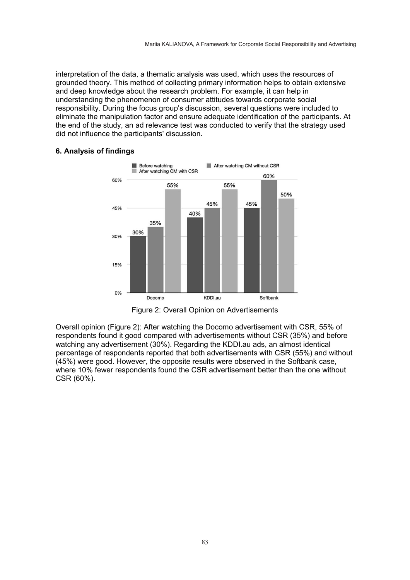interpretation of the data, a thematic analysis was used, which uses the resources of grounded theory. This method of collecting primary information helps to obtain extensive and deep knowledge about the research problem. For example, it can help in understanding the phenomenon of consumer attitudes towards corporate social responsibility. During the focus group's discussion, several questions were included to eliminate the manipulation factor and ensure adequate identification of the participants. At the end of the study, an ad relevance test was conducted to verify that the strategy used did not influence the participants' discussion.

### 6. Analysis of findings



Figure 2: Overall Opinion on Advertisements

Overall opinion (Figure 2): After watching the Docomo advertisement with CSR, 55% of respondents found it good compared with advertisements without CSR (35%) and before watching any advertisement (30%). Regarding the KDDI.au ads, an almost identical percentage of respondents reported that both advertisements with CSR (55%) and without (45%) were good. However, the opposite results were observed in the Softbank case, where 10% fewer respondents found the CSR advertisement better than the one without CSR (60%).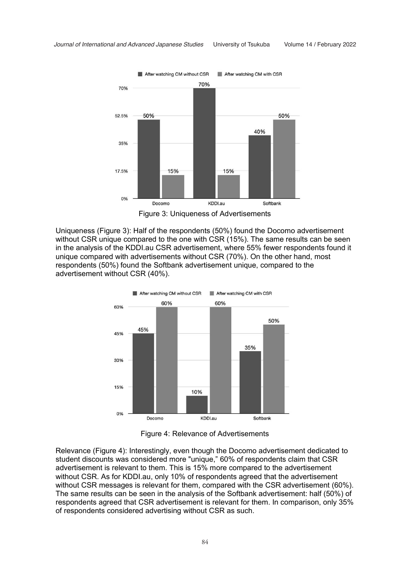

Figure 3: Uniqueness of Advertisements

Uniqueness (Figure 3): Half of the respondents (50%) found the Docomo advertisement without CSR unique compared to the one with CSR (15%). The same results can be seen in the analysis of the KDDI.au CSR advertisement, where 55% fewer respondents found it unique compared with advertisements without CSR (70%). On the other hand, most respondents (50%) found the Softbank advertisement unique, compared to the advertisement without CSR (40%).



Figure 4: Relevance of Advertisements

Relevance (Figure 4): Interestingly, even though the Docomo advertisement dedicated to student discounts was considered more "unique," 60% of respondents claim that CSR advertisement is relevant to them. This is 15% more compared to the advertisement without CSR. As for KDDI.au, only 10% of respondents agreed that the advertisement without CSR messages is relevant for them, compared with the CSR advertisement (60%). The same results can be seen in the analysis of the Softbank advertisement: half (50%) of respondents agreed that CSR advertisement is relevant for them. In comparison, only 35% of respondents considered advertising without CSR as such.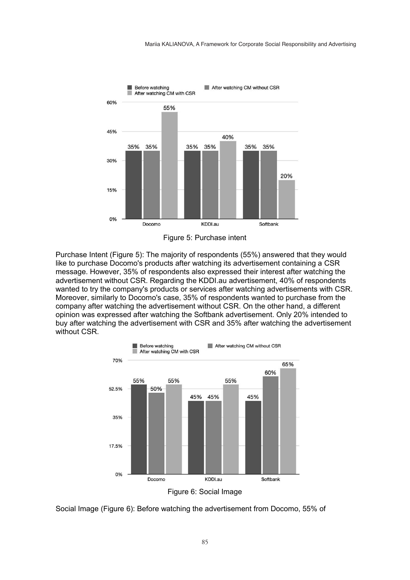

Figure 5: Purchase intent

Purchase Intent (Figure 5): The majority of respondents (55%) answered that they would like to purchase Docomo's products after watching its advertisement containing a CSR message. However, 35% of respondents also expressed their interest after watching the advertisement without CSR. Regarding the KDDI.au advertisement, 40% of respondents wanted to try the company's products or services after watching advertisements with CSR. Moreover, similarly to Docomo's case, 35% of respondents wanted to purchase from the company after watching the advertisement without CSR. On the other hand, a different opinion was expressed after watching the Softbank advertisement. Only 20% intended to buy after watching the advertisement with CSR and 35% after watching the advertisement without CSR.



Social Image (Figure 6): Before watching the advertisement from Docomo, 55% of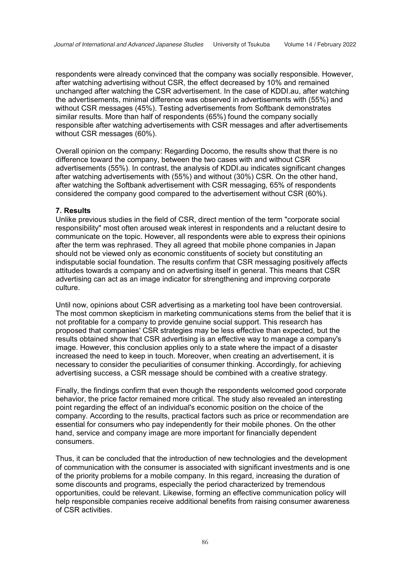respondents were already convinced that the company was socially responsible. However, after watching advertising without CSR, the effect decreased by 10% and remained unchanged after watching the CSR advertisement. In the case of KDDI.au, after watching the advertisements, minimal difference was observed in advertisements with (55%) and without CSR messages (45%). Testing advertisements from Softbank demonstrates similar results. More than half of respondents (65%) found the company socially responsible after watching advertisements with CSR messages and after advertisements without CSR messages (60%).

Overall opinion on the company: Regarding Docomo, the results show that there is no difference toward the company, between the two cases with and without CSR advertisements (55%). In contrast, the analysis of KDDI.au indicates significant changes after watching advertisements with (55%) and without (30%) CSR. On the other hand, after watching the Softbank advertisement with CSR messaging, 65% of respondents considered the company good compared to the advertisement without CSR (60%).

#### 7. Results

Unlike previous studies in the field of CSR, direct mention of the term "corporate social responsibility" most often aroused weak interest in respondents and a reluctant desire to communicate on the topic. However, all respondents were able to express their opinions after the term was rephrased. They all agreed that mobile phone companies in Japan should not be viewed only as economic constituents of society but constituting an indisputable social foundation. The results confirm that CSR messaging positively affects attitudes towards a company and on advertising itself in general. This means that CSR advertising can act as an image indicator for strengthening and improving corporate culture.

Until now, opinions about CSR advertising as a marketing tool have been controversial. The most common skepticism in marketing communications stems from the belief that it is not profitable for a company to provide genuine social support. This research has proposed that companies' CSR strategies may be less effective than expected, but the results obtained show that CSR advertising is an effective way to manage a company's image. However, this conclusion applies only to a state where the impact of a disaster increased the need to keep in touch. Moreover, when creating an advertisement, it is necessary to consider the peculiarities of consumer thinking. Accordingly, for achieving advertising success, a CSR message should be combined with a creative strategy.

Finally, the findings confirm that even though the respondents welcomed good corporate behavior, the price factor remained more critical. The study also revealed an interesting point regarding the effect of an individual's economic position on the choice of the company. According to the results, practical factors such as price or recommendation are essential for consumers who pay independently for their mobile phones. On the other hand, service and company image are more important for financially dependent consumers.

Thus, it can be concluded that the introduction of new technologies and the development of communication with the consumer is associated with significant investments and is one of the priority problems for a mobile company. In this regard, increasing the duration of some discounts and programs, especially the period characterized by tremendous opportunities, could be relevant. Likewise, forming an effective communication policy will help responsible companies receive additional benefits from raising consumer awareness of CSR activities.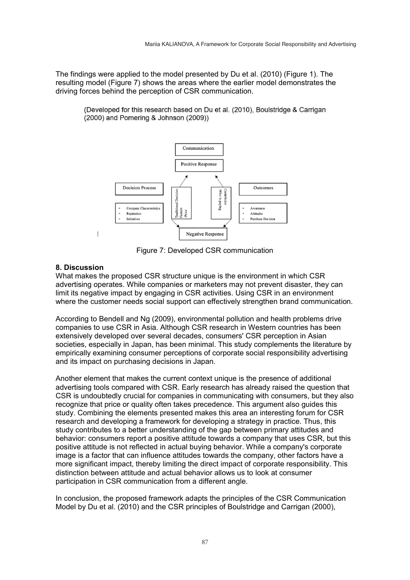The findings were applied to the model presented by Du et al. (2010) (Figure 1). The resulting model (Figure 7) shows the areas where the earlier model demonstrates the driving forces behind the perception of CSR communication.

(Developed for this research based on Du et al. (2010), Boulstridge & Carrigan (2000) and Pomering & Johnson (2009))



Figure 7: Developed CSR communication

## 8. Discussion

What makes the proposed CSR structure unique is the environment in which CSR advertising operates. While companies or marketers may not prevent disaster, they can limit its negative impact by engaging in CSR activities. Using CSR in an environment where the customer needs social support can effectively strengthen brand communication.

According to Bendell and Ng (2009), environmental pollution and health problems drive companies to use CSR in Asia. Although CSR research in Western countries has been extensively developed over several decades, consumers' CSR perception in Asian societies, especially in Japan, has been minimal. This study complements the literature by empirically examining consumer perceptions of corporate social responsibility advertising and its impact on purchasing decisions in Japan.

Another element that makes the current context unique is the presence of additional advertising tools compared with CSR. Early research has already raised the question that CSR is undoubtedly crucial for companies in communicating with consumers, but they also recognize that price or quality often takes precedence. This argument also guides this study. Combining the elements presented makes this area an interesting forum for CSR research and developing a framework for developing a strategy in practice. Thus, this study contributes to a better understanding of the gap between primary attitudes and behavior: consumers report a positive attitude towards a company that uses CSR, but this positive attitude is not reflected in actual buying behavior. While a company's corporate image is a factor that can influence attitudes towards the company, other factors have a more significant impact, thereby limiting the direct impact of corporate responsibility. This distinction between attitude and actual behavior allows us to look at consumer participation in CSR communication from a different angle.

In conclusion, the proposed framework adapts the principles of the CSR Communication Model by Du et al. (2010) and the CSR principles of Boulstridge and Carrigan (2000),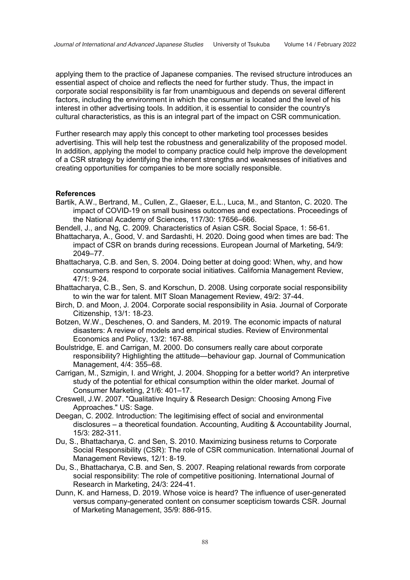applying them to the practice of Japanese companies. The revised structure introduces an essential aspect of choice and reflects the need for further study. Thus, the impact in corporate social responsibility is far from unambiguous and depends on several different factors, including the environment in which the consumer is located and the level of his interest in other advertising tools. In addition, it is essential to consider the country's cultural characteristics, as this is an integral part of the impact on CSR communication.

Further research may apply this concept to other marketing tool processes besides advertising. This will help test the robustness and generalizability of the proposed model. In addition, applying the model to company practice could help improve the development of a CSR strategy by identifying the inherent strengths and weaknesses of initiatives and creating opportunities for companies to be more socially responsible.

### **References**

- Bartik, A.W., Bertrand, M., Cullen, Z., Glaeser, E.L., Luca, M., and Stanton, C. 2020. The impact of COVID-19 on small business outcomes and expectations. Proceedings of the National Academy of Sciences, 117/30: 17656–666.
- Bendell, J., and Ng, C. 2009. Characteristics of Asian CSR. Social Space, 1: 56-61.
- Bhattacharya, A., Good, V. and Sardashti, H. 2020. Doing good when times are bad: The impact of CSR on brands during recessions. European Journal of Marketing, 54/9: 2049–77.
- Bhattacharya, C.B. and Sen, S. 2004. Doing better at doing good: When, why, and how consumers respond to corporate social initiatives. California Management Review, 47/1: 9-24.
- Bhattacharya, C.B., Sen, S. and Korschun, D. 2008. Using corporate social responsibility to win the war for talent. MIT Sloan Management Review, 49/2: 37-44.
- Birch, D. and Moon, J. 2004. Corporate social responsibility in Asia. Journal of Corporate Citizenship, 13/1: 18-23.
- Botzen, W.W., Deschenes, O. and Sanders, M. 2019. The economic impacts of natural disasters: A review of models and empirical studies. Review of Environmental Economics and Policy, 13/2: 167-88.
- Boulstridge, E. and Carrigan, M. 2000. Do consumers really care about corporate responsibility? Highlighting the attitude—behaviour gap. Journal of Communication Management, 4/4: 355–68.
- Carrigan, M., Szmigin, I. and Wright, J. 2004. Shopping for a better world? An interpretive study of the potential for ethical consumption within the older market. Journal of Consumer Marketing, 21/6: 401–17.
- Creswell, J.W. 2007. "Qualitative Inquiry & Research Design: Choosing Among Five Approaches." US: Sage.
- Deegan, C. 2002. Introduction: The legitimising effect of social and environmental disclosures – a theoretical foundation. Accounting, Auditing & Accountability Journal, 15/3: 282-311.
- Du, S., Bhattacharya, C. and Sen, S. 2010. Maximizing business returns to Corporate Social Responsibility (CSR): The role of CSR communication. International Journal of Management Reviews, 12/1: 8-19.
- Du, S., Bhattacharya, C.B. and Sen, S. 2007. Reaping relational rewards from corporate social responsibility: The role of competitive positioning. International Journal of Research in Marketing, 24/3: 224-41.
- Dunn, K. and Harness, D. 2019. Whose voice is heard? The influence of user-generated versus company-generated content on consumer scepticism towards CSR. Journal of Marketing Management, 35/9: 886-915.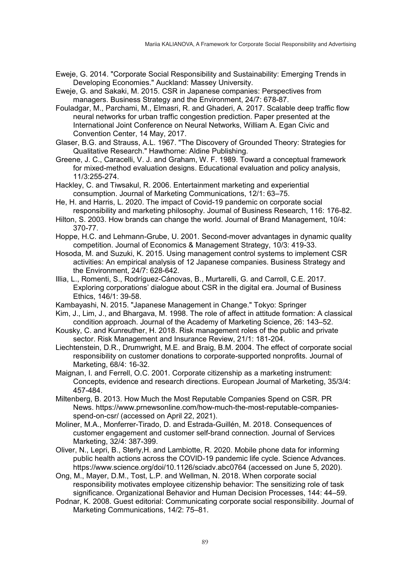- Eweje, G. 2014. "Corporate Social Responsibility and Sustainability: Emerging Trends in Developing Economies." Auckland: Massey University.
- Eweje, G. and Sakaki, M. 2015. CSR in Japanese companies: Perspectives from managers. Business Strategy and the Environment, 24/7: 678-87.
- Fouladgar, M., Parchami, M., Elmasri, R. and Ghaderi, A. 2017. Scalable deep traffic flow neural networks for urban traffic congestion prediction. Paper presented at the International Joint Conference on Neural Networks, William A. Egan Civic and Convention Center, 14 May, 2017.
- Glaser, B.G. and Strauss, A.L. 1967. "The Discovery of Grounded Theory: Strategies for Qualitative Research." Hawthorne: Aldine Publishing.
- Greene, J. C., Caracelli, V. J. and Graham, W. F. 1989. Toward a conceptual framework for mixed-method evaluation designs. Educational evaluation and policy analysis, 11/3:255-274.
- Hackley, C. and Tiwsakul, R. 2006. Entertainment marketing and experiential consumption. Journal of Marketing Communications, 12/1: 63–75.
- He, H. and Harris, L. 2020. The impact of Covid-19 pandemic on corporate social responsibility and marketing philosophy. Journal of Business Research, 116: 176-82.
- Hilton, S. 2003. How brands can change the world. Journal of Brand Management, 10/4: 370-77.
- Hoppe, H.C. and Lehmann-Grube, U. 2001. Second-mover advantages in dynamic quality competition. Journal of Economics & Management Strategy, 10/3: 419-33.
- Hosoda, M. and Suzuki, K. 2015. Using management control systems to implement CSR activities: An empirical analysis of 12 Japanese companies. Business Strategy and the Environment, 24/7: 628-642.
- Illia, L., Romenti, S., Rodríguez-Cánovas, B., Murtarelli, G. and Carroll, C.E. 2017. Exploring corporations' dialogue about CSR in the digital era. Journal of Business Ethics, 146/1: 39-58.
- Kambayashi, N. 2015. "Japanese Management in Change." Tokyo: Springer
- Kim, J., Lim, J., and Bhargava, M. 1998. The role of affect in attitude formation: A classical condition approach. Journal of the Academy of Marketing Science, 26: 143–52.
- Kousky, C. and Kunreuther, H. 2018. Risk management roles of the public and private sector. Risk Management and Insurance Review, 21/1: 181-204.
- Liechtenstein, D.R., Drumwright, M.E. and Braig, B.M. 2004. The effect of corporate social responsibility on customer donations to corporate-supported nonprofits. Journal of Marketing, 68/4: 16-32.
- Maignan, I. and Ferrell, O.C. 2001. Corporate citizenship as a marketing instrument: Concepts, evidence and research directions. European Journal of Marketing, 35/3/4: 457-484.
- Miltenberg, B. 2013. How Much the Most Reputable Companies Spend on CSR. PR News. https://www.prnewsonline.com/how-much-the-most-reputable-companiesspend-on-csr/ (accessed on April 22, 2021).
- Moliner, M.A., Monferrer-Tirado, D. and Estrada-Guillén, M. 2018. Consequences of customer engagement and customer self-brand connection. Journal of Services Marketing, 32/4: 387-399.
- Oliver, N., Lepri, B., Sterly,H. and Lambiotte, R. 2020. Mobile phone data for informing public health actions across the COVID-19 pandemic life cycle. Science Advances. https://www.science.org/doi/10.1126/sciadv.abc0764 (accessed on June 5, 2020).
- Ong, M., Mayer, D.M., Tost, L.P. and Wellman, N. 2018. When corporate social responsibility motivates employee citizenship behavior: The sensitizing role of task significance. Organizational Behavior and Human Decision Processes, 144: 44–59.
- Podnar, K. 2008. Guest editorial: Communicating corporate social responsibility. Journal of Marketing Communications, 14/2: 75–81.